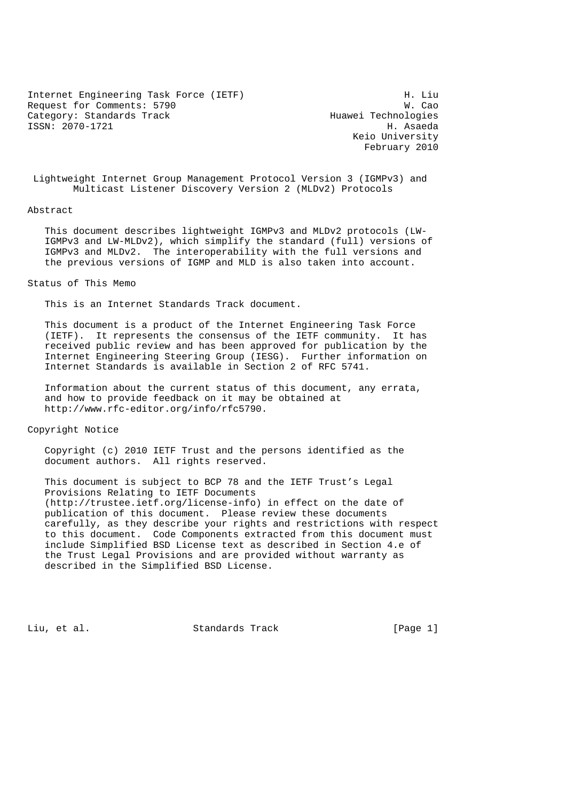Internet Engineering Task Force (IETF) H. Liu Request for Comments: 5790<br>Category: Standards Track Mexicon Muawei Technologies Category: Standards Track ISSN: 2070-1721 H. Asaeda

 Keio University February 2010

 Lightweight Internet Group Management Protocol Version 3 (IGMPv3) and Multicast Listener Discovery Version 2 (MLDv2) Protocols

#### Abstract

 This document describes lightweight IGMPv3 and MLDv2 protocols (LW- IGMPv3 and LW-MLDv2), which simplify the standard (full) versions of IGMPv3 and MLDv2. The interoperability with the full versions and the previous versions of IGMP and MLD is also taken into account.

#### Status of This Memo

This is an Internet Standards Track document.

 This document is a product of the Internet Engineering Task Force (IETF). It represents the consensus of the IETF community. It has received public review and has been approved for publication by the Internet Engineering Steering Group (IESG). Further information on Internet Standards is available in Section 2 of RFC 5741.

 Information about the current status of this document, any errata, and how to provide feedback on it may be obtained at http://www.rfc-editor.org/info/rfc5790.

Copyright Notice

 Copyright (c) 2010 IETF Trust and the persons identified as the document authors. All rights reserved.

 This document is subject to BCP 78 and the IETF Trust's Legal Provisions Relating to IETF Documents (http://trustee.ietf.org/license-info) in effect on the date of publication of this document. Please review these documents carefully, as they describe your rights and restrictions with respect to this document. Code Components extracted from this document must include Simplified BSD License text as described in Section 4.e of the Trust Legal Provisions and are provided without warranty as described in the Simplified BSD License.

Liu, et al. Standards Track [Page 1]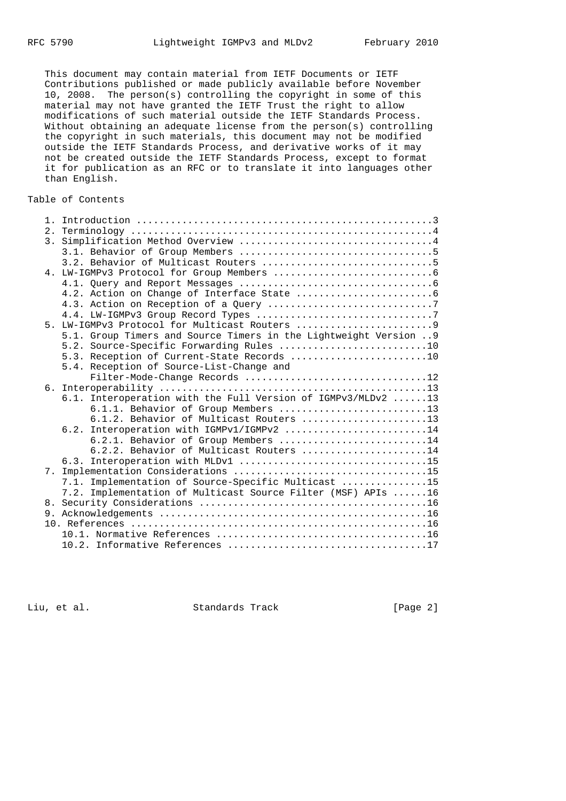This document may contain material from IETF Documents or IETF Contributions published or made publicly available before November 10, 2008. The person(s) controlling the copyright in some of this material may not have granted the IETF Trust the right to allow modifications of such material outside the IETF Standards Process. Without obtaining an adequate license from the person(s) controlling the copyright in such materials, this document may not be modified outside the IETF Standards Process, and derivative works of it may not be created outside the IETF Standards Process, except to format it for publication as an RFC or to translate it into languages other than English.

## Table of Contents

|                | 5.1. Group Timers and Source Timers in the Lightweight Version  9 |  |
|----------------|-------------------------------------------------------------------|--|
|                | 5.2. Source-Specific Forwarding Rules 10                          |  |
|                | 5.3. Reception of Current-State Records 10                        |  |
|                | 5.4. Reception of Source-List-Change and                          |  |
|                | Filter-Mode-Change Records 12                                     |  |
|                |                                                                   |  |
|                | 6.1. Interoperation with the Full Version of IGMPv3/MLDv2 13      |  |
|                | 6.1.1. Behavior of Group Members 13                               |  |
|                | 6.1.2. Behavior of Multicast Routers 13                           |  |
|                | 6.2. Interoperation with IGMPv1/IGMPv2 14                         |  |
|                | 6.2.1. Behavior of Group Members 14                               |  |
|                | 6.2.2. Behavior of Multicast Routers 14                           |  |
|                |                                                                   |  |
| 7 <sub>1</sub> |                                                                   |  |
|                | 7.1. Implementation of Source-Specific Multicast 15               |  |
|                | 7.2. Implementation of Multicast Source Filter (MSF) APIs 16      |  |
|                |                                                                   |  |
|                |                                                                   |  |
|                |                                                                   |  |
|                |                                                                   |  |
|                |                                                                   |  |

Liu, et al. Standards Track [Page 2]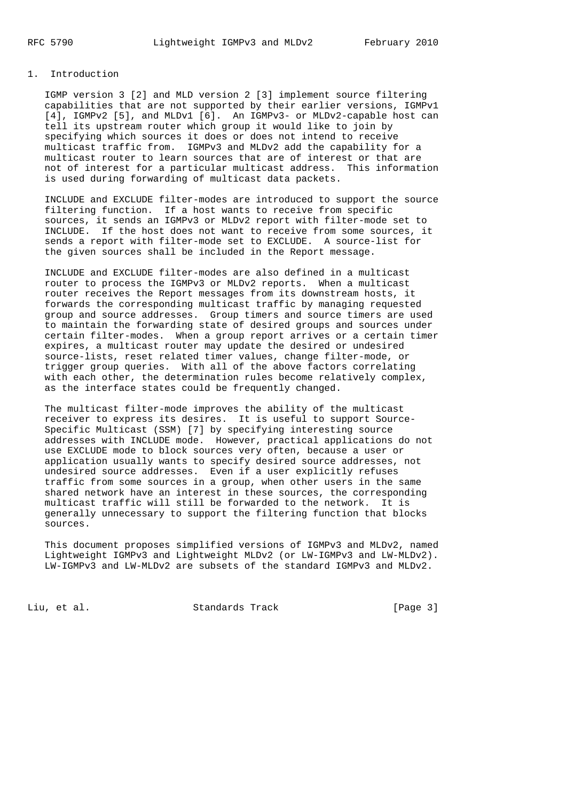## 1. Introduction

 IGMP version 3 [2] and MLD version 2 [3] implement source filtering capabilities that are not supported by their earlier versions, IGMPv1 [4], IGMPv2 [5], and MLDv1 [6]. An IGMPv3- or MLDv2-capable host can tell its upstream router which group it would like to join by specifying which sources it does or does not intend to receive multicast traffic from. IGMPv3 and MLDv2 add the capability for a multicast router to learn sources that are of interest or that are not of interest for a particular multicast address. This information is used during forwarding of multicast data packets.

 INCLUDE and EXCLUDE filter-modes are introduced to support the source filtering function. If a host wants to receive from specific sources, it sends an IGMPv3 or MLDv2 report with filter-mode set to INCLUDE. If the host does not want to receive from some sources, it sends a report with filter-mode set to EXCLUDE. A source-list for the given sources shall be included in the Report message.

 INCLUDE and EXCLUDE filter-modes are also defined in a multicast router to process the IGMPv3 or MLDv2 reports. When a multicast router receives the Report messages from its downstream hosts, it forwards the corresponding multicast traffic by managing requested group and source addresses. Group timers and source timers are used to maintain the forwarding state of desired groups and sources under certain filter-modes. When a group report arrives or a certain timer expires, a multicast router may update the desired or undesired source-lists, reset related timer values, change filter-mode, or trigger group queries. With all of the above factors correlating with each other, the determination rules become relatively complex, as the interface states could be frequently changed.

 The multicast filter-mode improves the ability of the multicast receiver to express its desires. It is useful to support Source- Specific Multicast (SSM) [7] by specifying interesting source addresses with INCLUDE mode. However, practical applications do not use EXCLUDE mode to block sources very often, because a user or application usually wants to specify desired source addresses, not undesired source addresses. Even if a user explicitly refuses traffic from some sources in a group, when other users in the same shared network have an interest in these sources, the corresponding multicast traffic will still be forwarded to the network. It is generally unnecessary to support the filtering function that blocks sources.

 This document proposes simplified versions of IGMPv3 and MLDv2, named Lightweight IGMPv3 and Lightweight MLDv2 (or LW-IGMPv3 and LW-MLDv2). LW-IGMPv3 and LW-MLDv2 are subsets of the standard IGMPv3 and MLDv2.

Liu, et al. Standards Track [Page 3]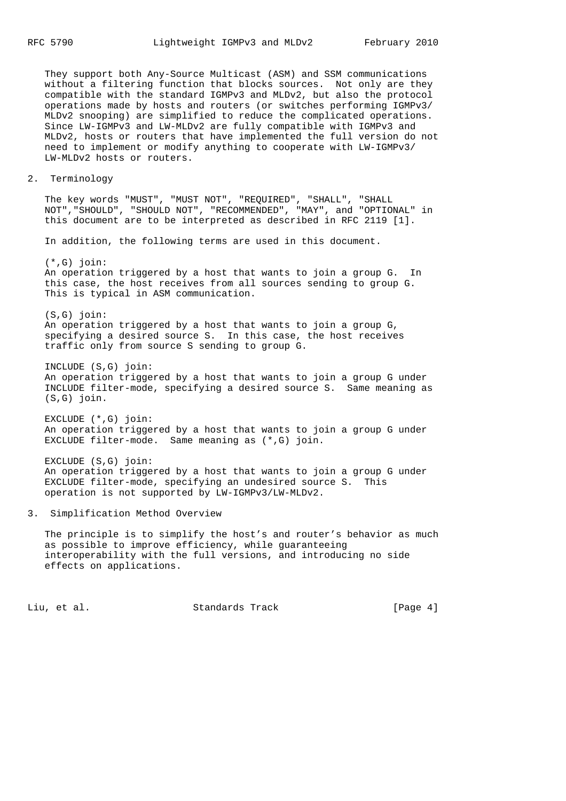They support both Any-Source Multicast (ASM) and SSM communications without a filtering function that blocks sources. Not only are they compatible with the standard IGMPv3 and MLDv2, but also the protocol operations made by hosts and routers (or switches performing IGMPv3/ MLDv2 snooping) are simplified to reduce the complicated operations. Since LW-IGMPv3 and LW-MLDv2 are fully compatible with IGMPv3 and MLDv2, hosts or routers that have implemented the full version do not need to implement or modify anything to cooperate with LW-IGMPv3/ LW-MLDv2 hosts or routers.

#### 2. Terminology

 The key words "MUST", "MUST NOT", "REQUIRED", "SHALL", "SHALL NOT","SHOULD", "SHOULD NOT", "RECOMMENDED", "MAY", and "OPTIONAL" in this document are to be interpreted as described in RFC 2119 [1].

In addition, the following terms are used in this document.

 (\*,G) join: An operation triggered by a host that wants to join a group G. In this case, the host receives from all sources sending to group G. This is typical in ASM communication.

 (S,G) join: An operation triggered by a host that wants to join a group G, specifying a desired source S. In this case, the host receives traffic only from source S sending to group G.

 INCLUDE (S,G) join: An operation triggered by a host that wants to join a group G under INCLUDE filter-mode, specifying a desired source S. Same meaning as (S,G) join.

 EXCLUDE (\*,G) join: An operation triggered by a host that wants to join a group G under EXCLUDE filter-mode. Same meaning as (\*,G) join.

 EXCLUDE (S,G) join: An operation triggered by a host that wants to join a group G under EXCLUDE filter-mode, specifying an undesired source S. This operation is not supported by LW-IGMPv3/LW-MLDv2.

#### 3. Simplification Method Overview

The principle is to simplify the host's and router's behavior as much as possible to improve efficiency, while guaranteeing interoperability with the full versions, and introducing no side effects on applications.

Liu, et al. Standards Track [Page 4]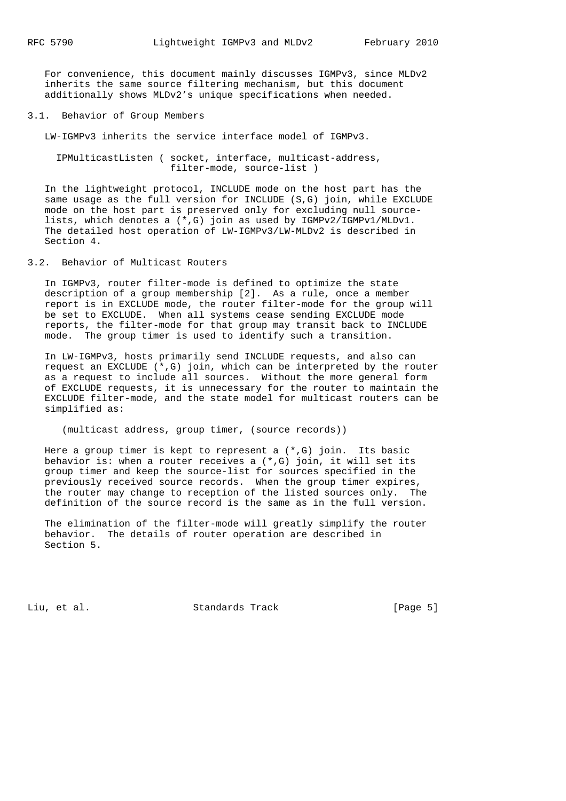For convenience, this document mainly discusses IGMPv3, since MLDv2 inherits the same source filtering mechanism, but this document additionally shows MLDv2's unique specifications when needed.

## 3.1. Behavior of Group Members

LW-IGMPv3 inherits the service interface model of IGMPv3.

 IPMulticastListen ( socket, interface, multicast-address, filter-mode, source-list )

 In the lightweight protocol, INCLUDE mode on the host part has the same usage as the full version for INCLUDE (S,G) join, while EXCLUDE mode on the host part is preserved only for excluding null source lists, which denotes a (\*,G) join as used by IGMPv2/IGMPv1/MLDv1. The detailed host operation of LW-IGMPv3/LW-MLDv2 is described in Section 4.

3.2. Behavior of Multicast Routers

 In IGMPv3, router filter-mode is defined to optimize the state description of a group membership [2]. As a rule, once a member report is in EXCLUDE mode, the router filter-mode for the group will be set to EXCLUDE. When all systems cease sending EXCLUDE mode reports, the filter-mode for that group may transit back to INCLUDE mode. The group timer is used to identify such a transition.

 In LW-IGMPv3, hosts primarily send INCLUDE requests, and also can request an EXCLUDE  $(*$ , G) join, which can be interpreted by the router as a request to include all sources. Without the more general form of EXCLUDE requests, it is unnecessary for the router to maintain the EXCLUDE filter-mode, and the state model for multicast routers can be simplified as:

(multicast address, group timer, (source records))

Here a group timer is kept to represent a  $(*$ , G) join. Its basic behavior is: when a router receives a (\*,G) join, it will set its group timer and keep the source-list for sources specified in the previously received source records. When the group timer expires, the router may change to reception of the listed sources only. The definition of the source record is the same as in the full version.

 The elimination of the filter-mode will greatly simplify the router behavior. The details of router operation are described in Section 5.

Liu, et al. Standards Track [Page 5]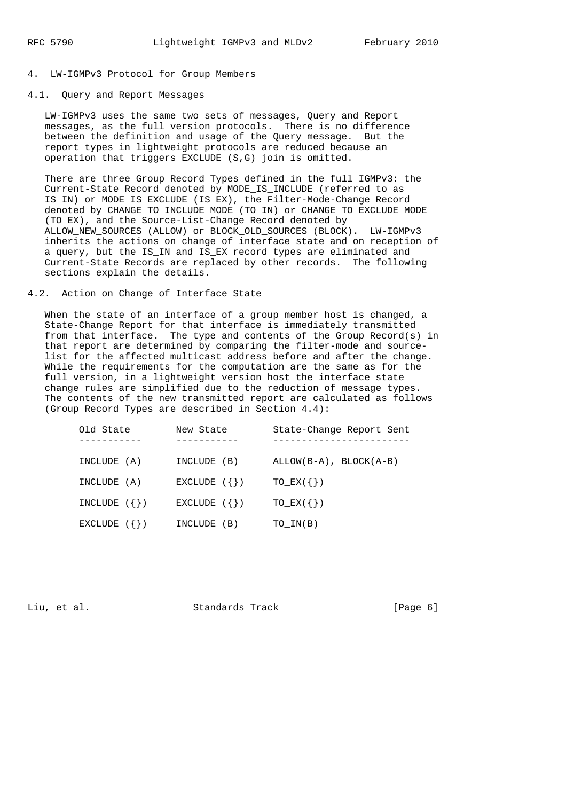#### 4. LW-IGMPv3 Protocol for Group Members

## 4.1. Query and Report Messages

 LW-IGMPv3 uses the same two sets of messages, Query and Report messages, as the full version protocols. There is no difference between the definition and usage of the Query message. But the report types in lightweight protocols are reduced because an operation that triggers EXCLUDE (S,G) join is omitted.

 There are three Group Record Types defined in the full IGMPv3: the Current-State Record denoted by MODE\_IS\_INCLUDE (referred to as IS\_IN) or MODE\_IS\_EXCLUDE (IS\_EX), the Filter-Mode-Change Record denoted by CHANGE\_TO\_INCLUDE\_MODE (TO\_IN) or CHANGE\_TO\_EXCLUDE\_MODE (TO\_EX), and the Source-List-Change Record denoted by ALLOW\_NEW\_SOURCES (ALLOW) or BLOCK\_OLD\_SOURCES (BLOCK). LW-IGMPv3 inherits the actions on change of interface state and on reception of a query, but the IS\_IN and IS\_EX record types are eliminated and Current-State Records are replaced by other records. The following sections explain the details.

## 4.2. Action on Change of Interface State

When the state of an interface of a group member host is changed, a State-Change Report for that interface is immediately transmitted from that interface. The type and contents of the Group Record(s) in that report are determined by comparing the filter-mode and source list for the affected multicast address before and after the change. While the requirements for the computation are the same as for the full version, in a lightweight version host the interface state change rules are simplified due to the reduction of message types. The contents of the new transmitted report are calculated as follows (Group Record Types are described in Section 4.4):

| Old State      | New State      | State-Change Report Sent     |
|----------------|----------------|------------------------------|
| INCLUDE (A)    | INCLUDE (B)    | $ALLOW(B-A)$ , $BLOCAL(A-B)$ |
| INCLUDE (A)    | EXCLUDE $({})$ | $TO$ $EX(\{\})$              |
| INCLUDE $({})$ | EXCLUDE $({})$ | $TO$ $EX(\{\})$              |
| EXCLUDE $({})$ | INCLUDE (B)    | TO IN(B)                     |

Liu, et al. Standards Track [Page 6]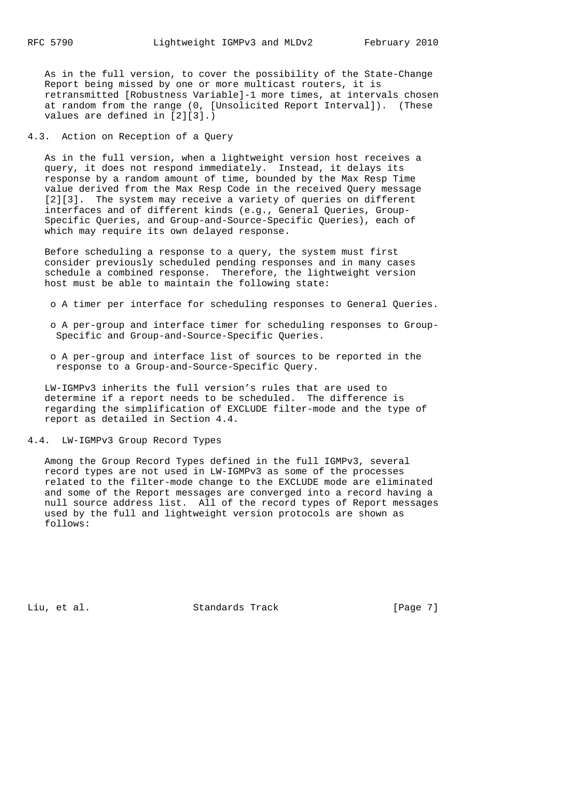As in the full version, to cover the possibility of the State-Change Report being missed by one or more multicast routers, it is retransmitted [Robustness Variable]-1 more times, at intervals chosen at random from the range (0, [Unsolicited Report Interval]). (These values are defined in [2][3].)

4.3. Action on Reception of a Query

 As in the full version, when a lightweight version host receives a query, it does not respond immediately. Instead, it delays its response by a random amount of time, bounded by the Max Resp Time value derived from the Max Resp Code in the received Query message [2][3]. The system may receive a variety of queries on different interfaces and of different kinds (e.g., General Queries, Group- Specific Queries, and Group-and-Source-Specific Queries), each of which may require its own delayed response.

 Before scheduling a response to a query, the system must first consider previously scheduled pending responses and in many cases schedule a combined response. Therefore, the lightweight version host must be able to maintain the following state:

- o A timer per interface for scheduling responses to General Queries.
- o A per-group and interface timer for scheduling responses to Group- Specific and Group-and-Source-Specific Queries.
- o A per-group and interface list of sources to be reported in the response to a Group-and-Source-Specific Query.

 LW-IGMPv3 inherits the full version's rules that are used to determine if a report needs to be scheduled. The difference is regarding the simplification of EXCLUDE filter-mode and the type of report as detailed in Section 4.4.

4.4. LW-IGMPv3 Group Record Types

 Among the Group Record Types defined in the full IGMPv3, several record types are not used in LW-IGMPv3 as some of the processes related to the filter-mode change to the EXCLUDE mode are eliminated and some of the Report messages are converged into a record having a null source address list. All of the record types of Report messages used by the full and lightweight version protocols are shown as follows:

Liu, et al. Standards Track [Page 7]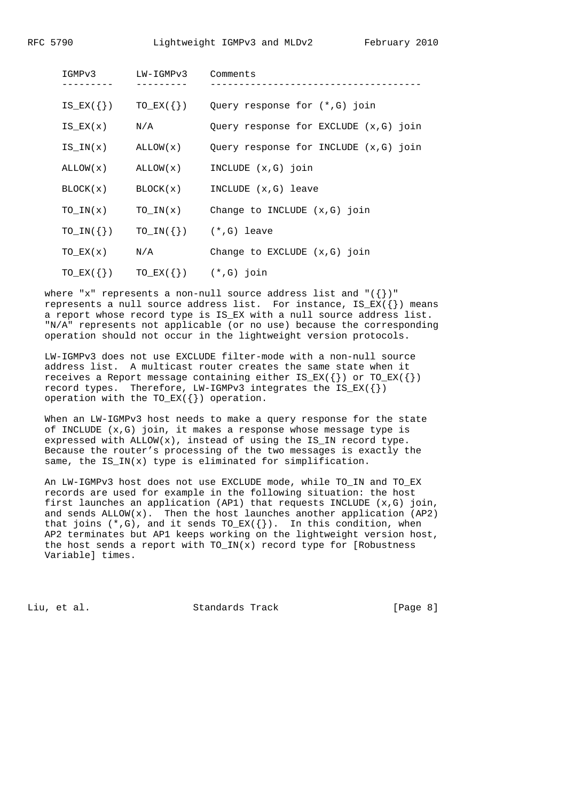| IGMPv3              | LW-IGMPv3                    | Comments                                                     |
|---------------------|------------------------------|--------------------------------------------------------------|
|                     |                              | $IS_EX(\{\})$ $TO_EX(\{\})$ Query response for $(*, G)$ join |
| IS $EX(x)$ $N/A$    |                              | Query response for EXCLUDE (x,G) join                        |
|                     | $IS IN(x)$ $ALLOW(x)$        | Query response for INCLUDE (x,G) join                        |
|                     |                              | $ALLOW(x)$ $ALLOW(x)$ INCLUDE $(x,G)$ join                   |
|                     |                              | $BLOCK(x)$ BLOCK $(x)$ INCLUDE $(x, G)$ leave                |
| TO $IN(x)$          |                              | TO $IN(x)$ Change to INCLUDE $(x, G)$ join                   |
| $TO\_IN(\{\})$      |                              | $TO_IN(\{\})$ $(*, G)$ leave                                 |
| TO $EX(x)$ $N/A$    |                              | Change to EXCLUDE $(x,G)$ join                               |
| $TO\_EX$ ( $\{\}$ ) | $TO$ $EX({})$ $(*$ , G) join |                                                              |

where "x" represents a non-null source address list and " $({})$ " represents a null source address list. For instance,  $IS\_EX({})$  means a report whose record type is IS EX with a null source address list. "N/A" represents not applicable (or no use) because the corresponding operation should not occur in the lightweight version protocols.

 LW-IGMPv3 does not use EXCLUDE filter-mode with a non-null source address list. A multicast router creates the same state when it receives a Report message containing either  $IS\_EX({})$  or TO\_EX( $\{\})$ record types. Therefore, LW-IGMPv3 integrates the  $IS\_EX({})$ operation with the  $TO\_EX({})$  operation.

 When an LW-IGMPv3 host needs to make a query response for the state of INCLUDE (x,G) join, it makes a response whose message type is expressed with  $ALLOW(x)$ , instead of using the IS\_IN record type. Because the router's processing of the two messages is exactly the same, the IS\_IN(x) type is eliminated for simplification.

 An LW-IGMPv3 host does not use EXCLUDE mode, while TO\_IN and TO\_EX records are used for example in the following situation: the host first launches an application (AP1) that requests INCLUDE (x,G) join, and sends ALLOW(x). Then the host launches another application (AP2) that joins  $(*$ ,G), and it sends TO\_EX( $\{\}$ ). In this condition, when AP2 terminates but AP1 keeps working on the lightweight version host, the host sends a report with  $TO_IN(x)$  record type for [Robustness Variable] times.

Liu, et al. Standards Track [Page 8]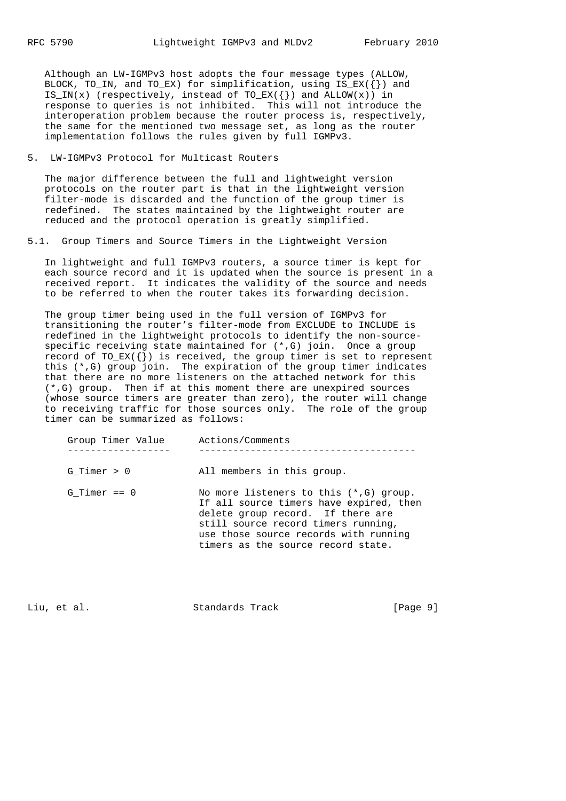Although an LW-IGMPv3 host adopts the four message types (ALLOW, BLOCK, TO\_IN, and TO\_EX) for simplification, using  $IS\_EX({})$  and IS\_IN(x) (respectively, instead of  $TO\_EX({})$  and  $ALLOW(x))$  in response to queries is not inhibited. This will not introduce the interoperation problem because the router process is, respectively, the same for the mentioned two message set, as long as the router implementation follows the rules given by full IGMPv3.

5. LW-IGMPv3 Protocol for Multicast Routers

 The major difference between the full and lightweight version protocols on the router part is that in the lightweight version filter-mode is discarded and the function of the group timer is redefined. The states maintained by the lightweight router are reduced and the protocol operation is greatly simplified.

5.1. Group Timers and Source Timers in the Lightweight Version

 In lightweight and full IGMPv3 routers, a source timer is kept for each source record and it is updated when the source is present in a received report. It indicates the validity of the source and needs to be referred to when the router takes its forwarding decision.

 The group timer being used in the full version of IGMPv3 for transitioning the router's filter-mode from EXCLUDE to INCLUDE is redefined in the lightweight protocols to identify the non-source specific receiving state maintained for (\*,G) join. Once a group record of TO\_EX( $\{\}\)$  is received, the group timer is set to represent this (\*,G) group join. The expiration of the group timer indicates that there are no more listeners on the attached network for this (\*,G) group. Then if at this moment there are unexpired sources (whose source timers are greater than zero), the router will change to receiving traffic for those sources only. The role of the group timer can be summarized as follows:

| Group Timer Value | Actions/Comments                                                                                                                                                                                                                                 |
|-------------------|--------------------------------------------------------------------------------------------------------------------------------------------------------------------------------------------------------------------------------------------------|
| $G$ Timer $> 0$   | All members in this group.                                                                                                                                                                                                                       |
| $G$ Timer == $0$  | No more listeners to this $(*$ , G) group.<br>If all source timers have expired, then<br>delete group record. If there are<br>still source record timers running,<br>use those source records with running<br>timers as the source record state. |

Liu, et al. Standards Track [Page 9]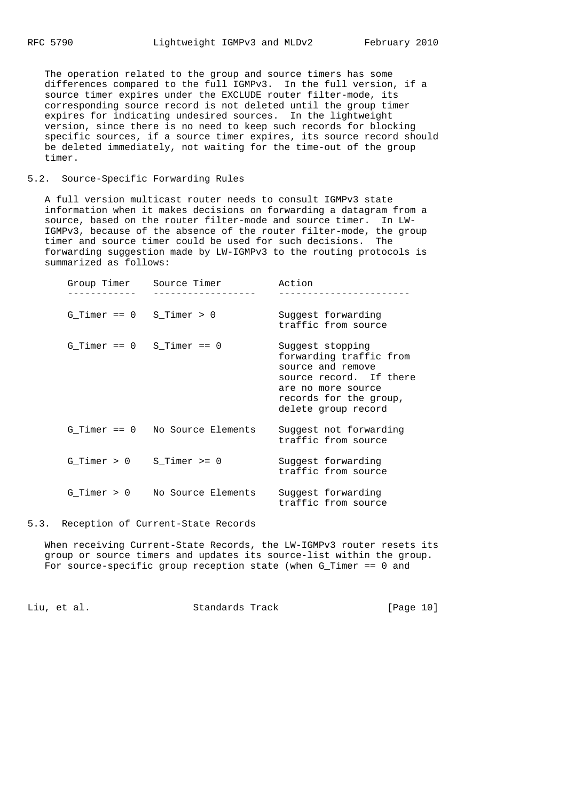The operation related to the group and source timers has some differences compared to the full IGMPv3. In the full version, if a source timer expires under the EXCLUDE router filter-mode, its corresponding source record is not deleted until the group timer expires for indicating undesired sources. In the lightweight version, since there is no need to keep such records for blocking specific sources, if a source timer expires, its source record should be deleted immediately, not waiting for the time-out of the group timer.

#### 5.2. Source-Specific Forwarding Rules

 A full version multicast router needs to consult IGMPv3 state information when it makes decisions on forwarding a datagram from a source, based on the router filter-mode and source timer. In LW- IGMPv3, because of the absence of the router filter-mode, the group timer and source timer could be used for such decisions. The forwarding suggestion made by LW-IGMPv3 to the routing protocols is summarized as follows:

| Group Timer                   | Source Timer                    | Action                                                                                                                                                             |
|-------------------------------|---------------------------------|--------------------------------------------------------------------------------------------------------------------------------------------------------------------|
| G Timer == $0$ S Timer > $0$  |                                 | Suggest forwarding<br>traffic from source                                                                                                                          |
| G Timer == $0$ S Timer == $0$ |                                 | Suggest stopping<br>forwarding traffic from<br>source and remove<br>source record. If there<br>are no more source<br>records for the group,<br>delete group record |
|                               | G Timer == 0 No Source Elements | Suggest not forwarding<br>traffic from source                                                                                                                      |
| G Timer > 0                   | S Timer $>= 0$                  | Suggest forwarding<br>traffic from source                                                                                                                          |
| $G$ Timer $> 0$               | No Source Elements              | Suggest forwarding<br>traffic from source                                                                                                                          |

5.3. Reception of Current-State Records

 When receiving Current-State Records, the LW-IGMPv3 router resets its group or source timers and updates its source-list within the group. For source-specific group reception state (when G\_Timer == 0 and

Liu, et al. Standards Track [Page 10]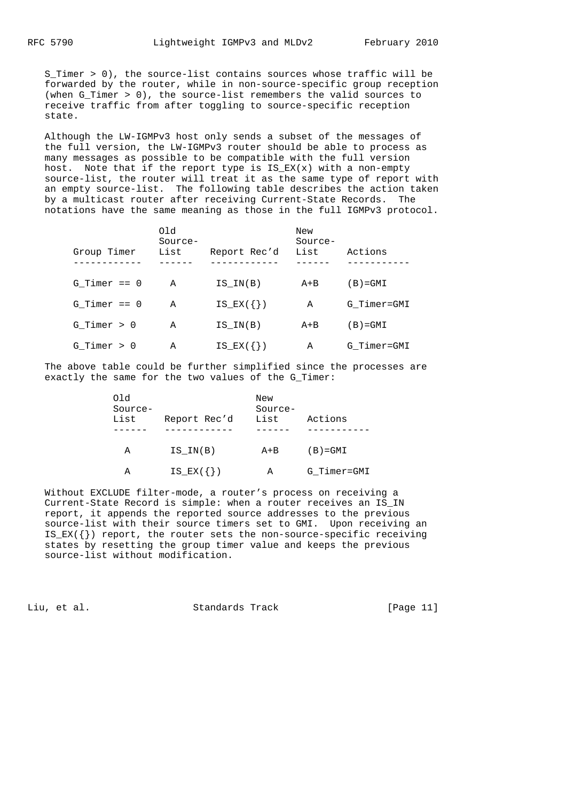S\_Timer > 0), the source-list contains sources whose traffic will be forwarded by the router, while in non-source-specific group reception (when G\_Timer > 0), the source-list remembers the valid sources to receive traffic from after toggling to source-specific reception state.

 Although the LW-IGMPv3 host only sends a subset of the messages of the full version, the LW-IGMPv3 router should be able to process as many messages as possible to be compatible with the full version host. Note that if the report type is  $IS\_EX(x)$  with a non-empty source-list, the router will treat it as the same type of report with an empty source-list. The following table describes the action taken by a multicast router after receiving Current-State Records. The notations have the same meaning as those in the full IGMPv3 protocol.

| Group Timer      | Old<br>Source-<br>List | Report Rec'd  | New<br>Source-<br>List | Actions     |
|------------------|------------------------|---------------|------------------------|-------------|
| $G$ Timer == $0$ | Α                      | IS IN(B)      | $A + B$                | $(B) = GML$ |
| $G$ Timer == $0$ | Α                      | $IS$ $EX({})$ | Α                      | G_Timer=GMI |
| $G$ Timer > 0    | Α                      | IS IN(B)      | $A + B$                | $(B) = GMI$ |
| $G$ Timer $> 0$  | Α                      | $IS_K({})$    | Α                      | G Timer=GMI |

 The above table could be further simplified since the processes are exactly the same for the two values of the G\_Timer:

| Old<br>Source-<br>List | Report Rec'd  | New<br>Source-<br>List | Actions     |
|------------------------|---------------|------------------------|-------------|
| Α                      | IS IN(B)      | A+B                    | $(B) = GMI$ |
| Α                      | $IS$ $EX({})$ | Α                      | G Timer=GMI |

 Without EXCLUDE filter-mode, a router's process on receiving a Current-State Record is simple: when a router receives an IS\_IN report, it appends the reported source addresses to the previous source-list with their source timers set to GMI. Upon receiving an IS\_EX({}) report, the router sets the non-source-specific receiving states by resetting the group timer value and keeps the previous source-list without modification.

Liu, et al. Standards Track [Page 11]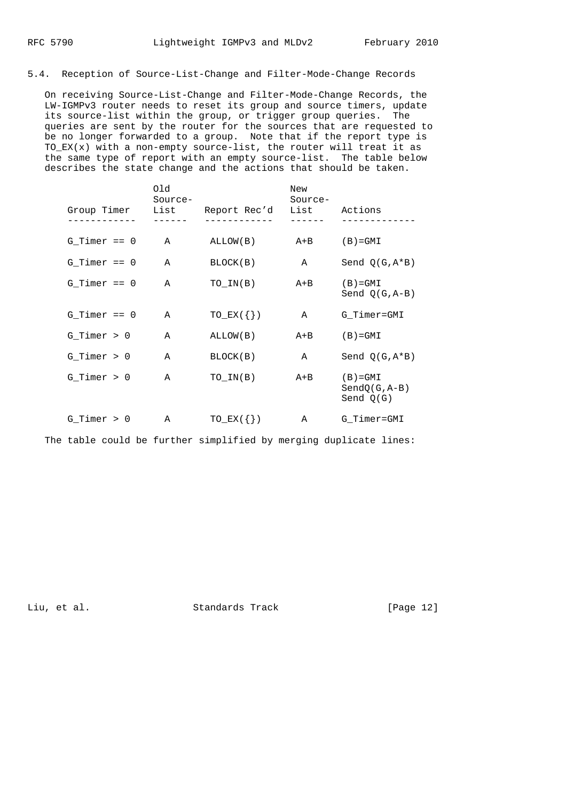#### 5.4. Reception of Source-List-Change and Filter-Mode-Change Records

 On receiving Source-List-Change and Filter-Mode-Change Records, the LW-IGMPv3 router needs to reset its group and source timers, update its source-list within the group, or trigger group queries. The queries are sent by the router for the sources that are requested to be no longer forwarded to a group. Note that if the report type is  $TO$  $EX(x)$  with a non-empty source-list, the router will treat it as the same type of report with an empty source-list. The table below describes the state change and the actions that should be taken.

| Group Timer      | Old<br>Source-<br>List | Report Rec'd    | New<br>Source-<br>List | Actions                                       |
|------------------|------------------------|-----------------|------------------------|-----------------------------------------------|
|                  |                        |                 |                        |                                               |
| $G_$ Timer == 0  | $\mathbb{A}$           | ALLOW(B)        | A+B                    | $(B) = GMI$                                   |
| $G$ Timer == $0$ | Α                      | BLOCK(B)        | $\mathbb A$            | Send $Q(G, A*B)$                              |
| $G$ Timer == $0$ | A                      | TO IN(B)        | $A + B$                | $(B) = GML$<br>Send $Q(G, A-B)$               |
| $G$ Timer == $0$ | Α                      | $TO$ $EX(\{\})$ | $\mathbb{A}$           | G_Timer=GMI                                   |
| $G_T$ imer > 0   | A                      | ALLOW(B)        | $A + B$                | $(B) = GML$                                   |
| $G_T$ imer > 0   | A                      | BLOCK(B)        | $\mathbb{A}$           | Send $Q(G, A*B)$                              |
| $G_$ Timer > 0   | A                      | TO IN(B)        | $A + B$                | $(B) = GML$<br>$SendQ(G, A-B)$<br>Send $Q(G)$ |
| $G_$ Timer > 0   | Α                      | $TO$ $EX(\{\})$ | Α                      | G_Timer=GMI                                   |

The table could be further simplified by merging duplicate lines:

Liu, et al. Standards Track [Page 12]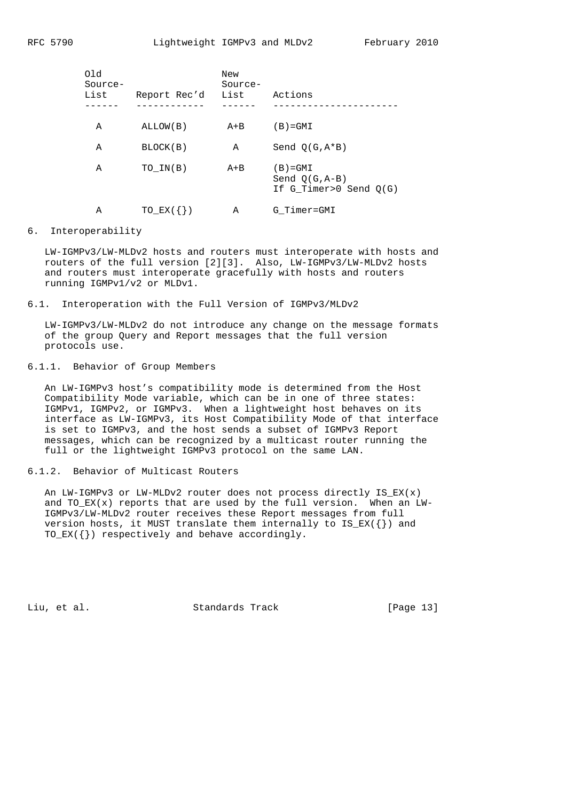| Old<br>Source-<br>List | Report Rec'd    | New<br>Source-<br>List | Actions                                                       |
|------------------------|-----------------|------------------------|---------------------------------------------------------------|
| Α                      | ALLOW(B)        | $A + B$                | $(B) = GML$                                                   |
| Α                      | BLOCK(B)        | Α                      | Send $O(G, A*B)$                                              |
| Α                      | TO IN(B)        | $A + B$                | $(B) = GML$<br>Send $O(G, A-B)$<br>If $G$ Timer>0 Send $O(G)$ |
| Α                      | $TO$ $EX(\{\})$ | Α                      | G Timer=GMI                                                   |

## 6. Interoperability

 LW-IGMPv3/LW-MLDv2 hosts and routers must interoperate with hosts and routers of the full version [2][3]. Also, LW-IGMPv3/LW-MLDv2 hosts and routers must interoperate gracefully with hosts and routers running IGMPv1/v2 or MLDv1.

6.1. Interoperation with the Full Version of IGMPv3/MLDv2

 LW-IGMPv3/LW-MLDv2 do not introduce any change on the message formats of the group Query and Report messages that the full version protocols use.

# 6.1.1. Behavior of Group Members

 An LW-IGMPv3 host's compatibility mode is determined from the Host Compatibility Mode variable, which can be in one of three states: IGMPv1, IGMPv2, or IGMPv3. When a lightweight host behaves on its interface as LW-IGMPv3, its Host Compatibility Mode of that interface is set to IGMPv3, and the host sends a subset of IGMPv3 Report messages, which can be recognized by a multicast router running the full or the lightweight IGMPv3 protocol on the same LAN.

## 6.1.2. Behavior of Multicast Routers

 An LW-IGMPv3 or LW-MLDv2 router does not process directly IS\_EX(x) and TO\_EX(x) reports that are used by the full version. When an LW- IGMPv3/LW-MLDv2 router receives these Report messages from full version hosts, it MUST translate them internally to  $IS\_EX(\{\})$  and TO\_EX({}) respectively and behave accordingly.

Liu, et al. Standards Track [Page 13]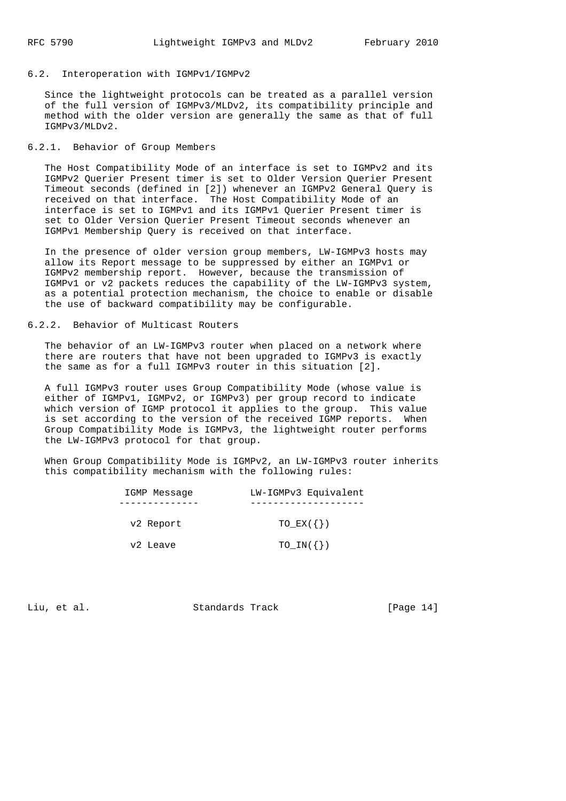#### 6.2. Interoperation with IGMPv1/IGMPv2

 Since the lightweight protocols can be treated as a parallel version of the full version of IGMPv3/MLDv2, its compatibility principle and method with the older version are generally the same as that of full IGMPv3/MLDv2.

### 6.2.1. Behavior of Group Members

 The Host Compatibility Mode of an interface is set to IGMPv2 and its IGMPv2 Querier Present timer is set to Older Version Querier Present Timeout seconds (defined in [2]) whenever an IGMPv2 General Query is received on that interface. The Host Compatibility Mode of an interface is set to IGMPv1 and its IGMPv1 Querier Present timer is set to Older Version Querier Present Timeout seconds whenever an IGMPv1 Membership Query is received on that interface.

 In the presence of older version group members, LW-IGMPv3 hosts may allow its Report message to be suppressed by either an IGMPv1 or IGMPv2 membership report. However, because the transmission of IGMPv1 or v2 packets reduces the capability of the LW-IGMPv3 system, as a potential protection mechanism, the choice to enable or disable the use of backward compatibility may be configurable.

## 6.2.2. Behavior of Multicast Routers

 The behavior of an LW-IGMPv3 router when placed on a network where there are routers that have not been upgraded to IGMPv3 is exactly the same as for a full IGMPv3 router in this situation [2].

 A full IGMPv3 router uses Group Compatibility Mode (whose value is either of IGMPv1, IGMPv2, or IGMPv3) per group record to indicate which version of IGMP protocol it applies to the group. This value is set according to the version of the received IGMP reports. When Group Compatibility Mode is IGMPv3, the lightweight router performs the LW-IGMPv3 protocol for that group.

 When Group Compatibility Mode is IGMPv2, an LW-IGMPv3 router inherits this compatibility mechanism with the following rules:

| IGMP Message | LW-IGMPv3 Equivalent |
|--------------|----------------------|
|              |                      |
| v2 Report    | $TO$ $EX(\{\})$      |
| v2 Leave     | $TO_IN(\{\})$        |

Liu, et al. Standards Track [Page 14]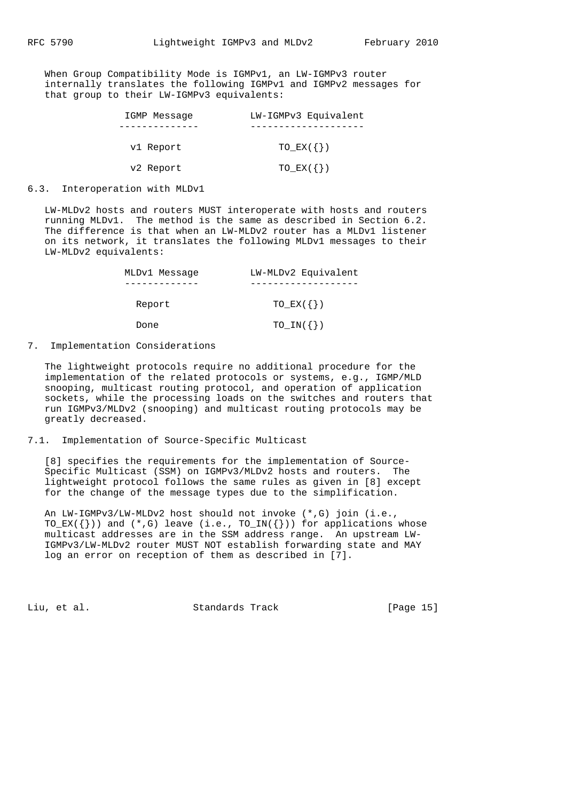When Group Compatibility Mode is IGMPv1, an LW-IGMPv3 router internally translates the following IGMPv1 and IGMPv2 messages for that group to their LW-IGMPv3 equivalents:

| IGMP Message | LW-IGMPv3 Equivalent |
|--------------|----------------------|
|              |                      |
| v1 Report    | $TO$ $EX(\{\})$      |
| v2 Report    | $TO\_EX({})$         |

6.3. Interoperation with MLDv1

 LW-MLDv2 hosts and routers MUST interoperate with hosts and routers running MLDv1. The method is the same as described in Section 6.2. The difference is that when an LW-MLDv2 router has a MLDv1 listener on its network, it translates the following MLDv1 messages to their LW-MLDv2 equivalents:

| MLDv1 Message | LW-MLDv2 Equivalent |
|---------------|---------------------|
|               |                     |
| Report        | $TO$ $EX(\{\})$     |
| Done          | $TO_IN({})$         |

7. Implementation Considerations

 The lightweight protocols require no additional procedure for the implementation of the related protocols or systems, e.g., IGMP/MLD snooping, multicast routing protocol, and operation of application sockets, while the processing loads on the switches and routers that run IGMPv3/MLDv2 (snooping) and multicast routing protocols may be greatly decreased.

7.1. Implementation of Source-Specific Multicast

 [8] specifies the requirements for the implementation of Source- Specific Multicast (SSM) on IGMPv3/MLDv2 hosts and routers. The lightweight protocol follows the same rules as given in [8] except for the change of the message types due to the simplification.

 An LW-IGMPv3/LW-MLDv2 host should not invoke (\*,G) join (i.e., TO\_EX( $\{\})$ ) and  $(*$ , G) leave (i.e., TO\_IN( $\{\})$ ) for applications whose multicast addresses are in the SSM address range. An upstream LW- IGMPv3/LW-MLDv2 router MUST NOT establish forwarding state and MAY log an error on reception of them as described in [7].

Liu, et al. Standards Track [Page 15]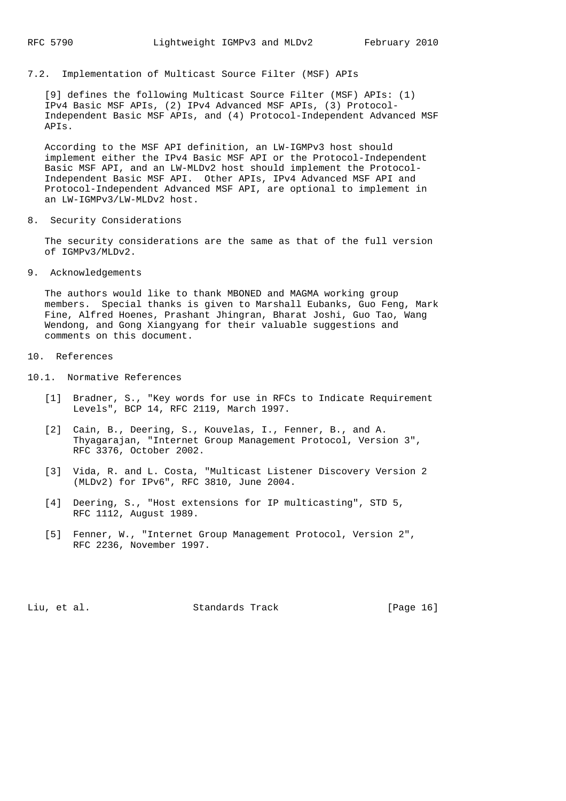7.2. Implementation of Multicast Source Filter (MSF) APIs

 [9] defines the following Multicast Source Filter (MSF) APIs: (1) IPv4 Basic MSF APIs, (2) IPv4 Advanced MSF APIs, (3) Protocol- Independent Basic MSF APIs, and (4) Protocol-Independent Advanced MSF APIs.

 According to the MSF API definition, an LW-IGMPv3 host should implement either the IPv4 Basic MSF API or the Protocol-Independent Basic MSF API, and an LW-MLDv2 host should implement the Protocol- Independent Basic MSF API. Other APIs, IPv4 Advanced MSF API and Protocol-Independent Advanced MSF API, are optional to implement in an LW-IGMPv3/LW-MLDv2 host.

8. Security Considerations

 The security considerations are the same as that of the full version of IGMPv3/MLDv2.

9. Acknowledgements

 The authors would like to thank MBONED and MAGMA working group members. Special thanks is given to Marshall Eubanks, Guo Feng, Mark Fine, Alfred Hoenes, Prashant Jhingran, Bharat Joshi, Guo Tao, Wang Wendong, and Gong Xiangyang for their valuable suggestions and comments on this document.

- 10. References
- 10.1. Normative References
	- [1] Bradner, S., "Key words for use in RFCs to Indicate Requirement Levels", BCP 14, RFC 2119, March 1997.
	- [2] Cain, B., Deering, S., Kouvelas, I., Fenner, B., and A. Thyagarajan, "Internet Group Management Protocol, Version 3", RFC 3376, October 2002.
	- [3] Vida, R. and L. Costa, "Multicast Listener Discovery Version 2 (MLDv2) for IPv6", RFC 3810, June 2004.
	- [4] Deering, S., "Host extensions for IP multicasting", STD 5, RFC 1112, August 1989.
	- [5] Fenner, W., "Internet Group Management Protocol, Version 2", RFC 2236, November 1997.

Liu, et al. Standards Track [Page 16]